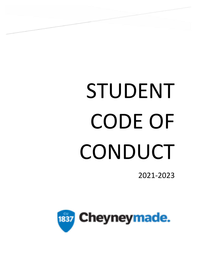# STUDENT CODE OF CONDUCT

./

2021-2023

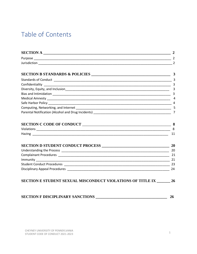# Table of Contents

|                                                               | 2              |
|---------------------------------------------------------------|----------------|
|                                                               | $\mathbf{3}$   |
|                                                               |                |
|                                                               |                |
|                                                               | $\overline{3}$ |
|                                                               | 3              |
|                                                               | 4              |
|                                                               |                |
|                                                               | 5              |
|                                                               | $\overline{7}$ |
|                                                               |                |
|                                                               | 8              |
|                                                               | 11             |
|                                                               | 20             |
|                                                               | -20            |
|                                                               | -21            |
|                                                               | 21             |
|                                                               |                |
|                                                               | 24             |
| SECTION E STUDENT SEXUAL MISCONDUCT VIOLATIONS OF TITLE IX 26 |                |
| <b>SECTION F DISCIPLINARY SANCTIONS</b>                       | <b>26</b>      |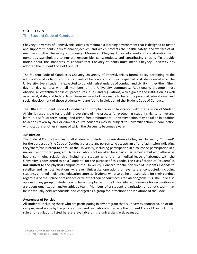# **SECTION A The Student Code of Conduct**

Cheyney University of Pennsylvania strives to maintain a learning environment that is designed to foster and support students' educational objectives, and which protects the health, safety, and welfare of all members of the University community. Moreover, Cheyney University works in collaboration with numerous stakeholders to nurture responsible, conscientious, and contributing citizens. To provide notice about the standards of conduct that Cheyney students must meet, Cheyney University has adopted the Student Code of Conduct.

The Student Code of Conduct is Cheyney University of Pennsylvania 's formal policy pertaining to the adjudication of violations of the standards of behavior and conduct expected of students enrolled at the University. Every student is expected to uphold high standards of conduct and civility in they/them/their day -to- day contact with all members of the University community. Additionally, students must observe all established policies, procedures, rules, and regulations, which govern the institution, as well as all local, state, and federal laws. Reasonable efforts are made to foster the personal, educational, and social development of those students who are found in violation of the Student Code of Conduct.

The Office of Student Code of Conduct and Compliance in collaboration with the Division of Student Affairs is responsible for providing oversight of the process for protecting student's rights to live and learn in a safe, orderly, caring, and crime-free environment. University action may be taken in addition to actions taken by civil or criminal courts. Students may be subject to university action in conjunction with citations or other charges of which the University becomes aware.

# **Jurisdiction**

The Code of Conduct applies to all student and student organizations of Cheyney University. "Student" forthe purposes ofthe Code of Conduct refersto any person who accepts an offer of admission indicating they/them/their intent to enroll at the University, including participation in a course or participation in a university-sponsored program. A person who is not enrolled for a particular semester but who otherwise has a continuing relationship, including a student who is on a medical leave of absence with the University is considered to be a "student" for the purpose of this code. The classification of "student" is **not limited** to the physical campus of the University. Concern for the conduct of students extends to satellite and remote locations wherever University operations or events are conducted, including students enrolled in distance education courses. Students will also be held responsible for their conduct regardless of their place of residence or whethertheir conduct occurred *on or off campus*. The Code also applies to any group of students who have complied with the University requirements for recognition as a student organization and/or athletic team. Members of a student organization or athletic team may be individually held responsible and charged as a group for infractions and violations of the Code.

# **Awareness of Policies**

All students, including those who are participating in any program that is University sponsored, on or off campus, must abide by the policies, rules and regulations underlying the Student Code of Conduct. The rule and regulations listed here are available on the university's web pages at: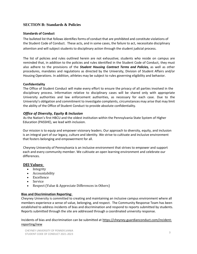# **SECTION B: Standards & Policies**

# **Standards of Conduct**

The bulleted list that follows identifies forms of conduct that are prohibited and constitute violations of the Student Code of Conduct. These acts, and in some cases, the failure to act, necessitate disciplinary attention and will subject students to disciplinary action through the student judicial process.

The list of policies and rules outlined herein are not exhaustive; students who reside on campus are reminded that, in addition to the policies and rules identified in the Student Code of Conduct, they must also adhere to the provisions of the *Student Housing Contract Terms and Policies,* as well as other procedures, mandates and regulations as directed by the University, Division of Student Affairs and/or Housing Operations. In addition, athletes may be subject to rules governing eligibility and behavior.

# **Confidentiality**

The Office of Student Conduct will make every effort to ensure the privacy of all parties involved in the disciplinary process. Information relative to disciplinary cases will be shared only with appropriate University authorities and law enforcement authorities, as necessary for each case. Due to the University's obligation and commitment to investigate complaints, circumstances may arise that may limit the ability of the Office of Student Conduct to provide absolute confidentiality.

# *Office of Diversity, Equity & Inclusion*

As the Nation's first HBCU and the oldest institution within the Pennsylvania State System of Higher Education (PASSHE), we lead with inclusion.

 Our mission is to equip and empower visionary leaders. Our approach to diversity, equity, and inclusion is an integral part of our legacy, culture and identity. We strive to cultivate and inclusive environment that fosters belonging and empowerment for all.

Cheyney University of Pennsylvania is an inclusive environment that strives to empower and support each and every community member. We cultivate an open learning environment and celebrate our differences.

# **DEI Values:**

- Integrity
- Accountability
- Excellence
- Service
- Respect (Value & Appreciate Differences in Others)

# **Bias and Discrimination Reporting:**

Cheyney University is committed to creating and maintaining an inclusive campus environment where all members experience a sense of value, belonging, and respect. The Community Response Team has been established to address incidents of bias and discrimination and respond to reports submitted by students. Reports submitted through the site are addressed through a coordinated university response.

Incidents of bias and discrimination can be submitted at [https://cheyney.guardianconduct.com/incident](https://nam11.safelinks.protection.outlook.com/?url=https%3A%2F%2Fcheyney.guardianconduct.com%2Fincident-reporting%2Fnew&data=04%7C01%7C%7Ce78c5883411f4aeb0ed008d953612eb3%7Cdd9e9da00863431a983e129fbd7ce7e5%7C1%7C0%7C637632499147028226%7CUnknown%7CTWFpbGZsb3d8eyJWIjoiMC4wLjAwMDAiLCJQIjoiV2luMzIiLCJBTiI6Ik1haWwiLCJXVCI6Mn0%3D%7C1000&sdata=xJoLgyU2ifl8cPsLwlPtwPeKaisQGLIVBgVfCvQQhe4%3D&reserved=0)[reporting/new](https://nam11.safelinks.protection.outlook.com/?url=https%3A%2F%2Fcheyney.guardianconduct.com%2Fincident-reporting%2Fnew&data=04%7C01%7C%7Ce78c5883411f4aeb0ed008d953612eb3%7Cdd9e9da00863431a983e129fbd7ce7e5%7C1%7C0%7C637632499147028226%7CUnknown%7CTWFpbGZsb3d8eyJWIjoiMC4wLjAwMDAiLCJQIjoiV2luMzIiLCJBTiI6Ik1haWwiLCJXVCI6Mn0%3D%7C1000&sdata=xJoLgyU2ifl8cPsLwlPtwPeKaisQGLIVBgVfCvQQhe4%3D&reserved=0)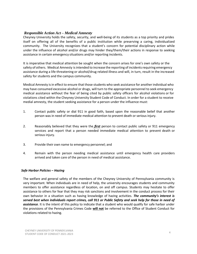# *Responsible Action Act – Medical Amnesty*

Cheyney University holds the safety, security, and well-being of its students as a top priority and prides itself on offering all of the benefits of a public institution while preserving a caring, individualized community. The University recognizes that a student's concern for potential disciplinary action while under the influence of alcohol and/or drugs may hinder they/them/their actions in response to seeking assistance in certain emergency situations and/or reporting incidents.

It is imperative that medical attention be sought when the concern arises for one's own safety or the safety of others. Medical Amnesty is intended to increase the reporting of incidents requiring emergency assistance during a life-threatening or alcohol/drug related illness and will, in turn, result in the increased safety for students and the campus community.

Medical Amnesty isin effect to ensure that those students who seek assistance for another individual who may have consumed excessive alcohol or drugs, will turn to the appropriate personnel to seek emergency medical assistance without the fear of being cited by public safety officers for alcohol violations or for violations cited within the Cheyney University Student Code of Conduct. In order for a student to receive medial amnesty, the student seeking assistance for a person under the influence must:

- 1. Contact public safety or dial 911 in good faith, based upon the reasonable belief that another person was in need of immediate medical attention to prevent death or serious injury.
- 2. Reasonably believed that they were the *first* person to contact public safety or 911 emergency services and report that a person needed immediate medical attention to prevent death or serious injury.
- 3. Provide their own name to emergency personnel; and
- 4. Remain with the person needing medical assistance until emergency health care providers arrived and taken care of the person in need of medical assistance.

# *Safe Harbor Policies – Hazing*

The welfare and general safety of the members of the Cheyney University of Pennsylvania community is very important. When individuals are in need of help, the university encourages students and community members to offer assistance regardless of location, on and off campus. Students may hesitate to offer assistance to others for fear that they may risk sanctions and involvement in the conduct process for their own behavior in a situation such as having knowledge of hazing activities. *The community's interest is served best when individuals report crimes, call 911 or Public Safety and seek help for those in need of assistance*. It is the intent of this policy to indicate that a student who would qualify for safe harbor under the provisions of the Pennsylvania Crimes Code **will not** be referred to the Office of Student Conduct for violations related to hazing.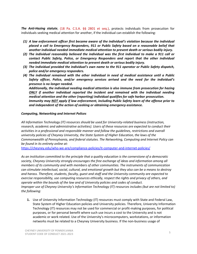*The Anti-Hazing statute*, (18 Pa. C.S.A. §§ 2801 et seq.), protects individuals from prosecution for individuals seeking medical attention for another, if the individual can establish the following:

- *(1) A law enforcement officer first became aware of the individual's violation because the individual placed a call to Emergency Responders, 911 or Public Safety based on a reasonable belief that another individual needed immediate medical attention to prevent death or serious bodily injury.*
- *(2) The individual reasonably believed the individual was the first individual to make a 911 call or contact Public Safety, Police, or Emergency Responders and report that the other individual needed immediate medical attention to prevent death or serious bodily injury.*
- *(3) The individual provided the individual's own name to the 911 operator or Public Safety dispatch, police and/or emergency responders.*
- *(4) The individual remained with the other individual in need of medical assistance until a Public Safety officer, Police, and/or emergency services arrived and the need for the individual's presence is no longer needed.*

*Additionally, the individual needing medical attention is also immune from prosecution for hazing ONLY if another individual reported the incident and remained with the individual needing medical attention and the other (reporting) individual qualifies for safe harbor prosecution. Immunity may NOT apply if law enforcement, including Public Safety learn of the offense prior to and independent of the action of seeking or obtaining emergency assistance.*

# *Computing, Networking and Internet Polices*

*All Information Technology (IT) resources should be used for University-related business (instruction, research, academic and administrative activities). Users of these resources are expected to conduct their activities in a professional and responsible manner and follow the guidelines, restrictions and overall university policies of Cheyney University, the State System of Higher Education, the laws of the Commonwealth of Pennsylvania, and federal statutes. The Networking, Computing and Internet Policy can be found in its entirety online at:* 

<https://cheyney.edu/who-we-are/compliance-policies/it-computer-and-internet-policies/>

*As an institution committed to the principle that a quality education is the cornerstone of a democratic society, Cheyney University strongly encourages the free exchange of ideas and information among all members of its community and with members of other communities. The instruments of communication can stimulate intellectual, social, cultural, and emotional growth but they also can be a means to destroy and harass. Therefore, students, faculty, guest and staff and the University community are expected to exercise responsibility, use computing resources ethically, respect the rights and privacy of others, and operate within the bounds of the law and of University policies and codes of conduct. Improper use of Cheyney University's Information Technology (IT) resources includes (but are not limited to) the following:*

**1.** Use of University Information Technology (IT) resources must comply with State and Federal Law, State System of Higher Education policies and University policies. Therefore, University Information Technology (IT) resources may not be used for commercial or profit-making purposes, for political purposes, or for personal benefit where such use incurs a cost to the University and is not academic or work related. Use of the University's microcomputers, workstations, or information networks must be related to a Cheyney University business. If the non-business usage of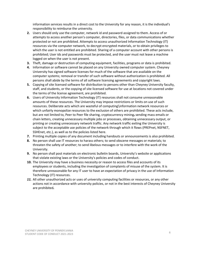information services results in a direct cost to the University for any reason, it is the individual's responsibility to reimburse the university.

- **2.** Users should only use the computer, network id and password assigned to them. Access of or attempts to access another person's computer, directories, files, or data communications whether protected or not are prohibited. Attempts to access unauthorized Information Technology (IT) resources via the computer network, to decrypt encrypted materials, or to obtain privileges to which the user is not entitled are prohibited. Sharing of a computer account with other persons is prohibited; User ids and passwords must be protected, and the user must not leave a machine logged on when the user is not present.
- **3.** Theft, damage or destruction of computing equipment, facilities, programs or data is prohibited.
- **4.** Information or software cannot be placed on any University owned computer system. Cheyney University has signed software licenses for much of the software that are available on the computer systems; removal or transfer of such software without authorization is prohibited. All persons shall abide by the terms of all software licensing agreements and copyright laws.
- **5.** Copying of site licensed software for distribution to persons other than Cheyney University faculty, staff, and students, or the copying of site licensed software for use at locations not covered under the terms of the license agreement, are prohibited.
- **6.** Users of University Information Technology (IT) resources shall not consume unreasonable amounts of these resources. The University may impose restrictions or limits on use of such resources. Deliberate acts which are wasteful of computing\information network resources or which unfairly monopolize resources to the exclusion of others are prohibited. These acts include, but are not limited to, Peer to Peer file sharing, cryptocurrency mining, sending mass emails or chain letters, creating unnecessary multiple jobs or processes, obtaining unnecessary output, or printing or creating unnecessary network traffic. Any network traffic exiting the University is subject to the acceptable use policies of the network through which it flows (PREPnet, NSFNET, SSHEnet, etc.), as well as to the policies listed here.
- **7.** Printing multiple copies of any document including handouts or announcements is also prohibited.
- **8.** No person shall use IT resources to harass others; to send obscene messages or materials; to threaten the safety of another; to send libelous messages or to interfere with the work of the University.
- **9.** No person shall post materials on electronic bulletin boards, University's website or applications that violate existing laws or the University's policies and codes of conduct.
- **10.** The University may have a business necessity or reason to access files and accounts of its employees or students, including the investigation of complaints of misuse of the system. It is therefore unreasonable for any IT user to have an expectation of privacy in the use of Information Technology (IT) resources.
- *11.* All other unauthorized acts or uses of university computing facilities or resources, or any other actions not in accordance with university policies, or not in the best interests of Cheyney University are prohibited*.*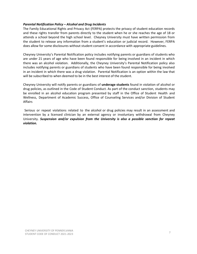# *Parental Notification Policy – Alcohol and Drug Incidents*

The Family Educational Rights and Privacy Act (FERPA) protects the privacy of student education records and these rights transfer from parents directly to the student when he or she reaches the age of 18 or attends a school beyond the high school level. Cheyney University must have written permission from the student to release any information from a student's education or judicial record. However, FERPA does allow for some disclosures without student consent in accordance with appropriate guidelines.

Cheyney University's Parental Notification policy includes notifying parents or guardians of students who are under 21 years of age who have been found responsible for being involved in an incident in which there was an alcohol violation. Additionally, the Cheyney University's Parental Notification policy also includes notifying parents or guardians of students who have been found responsible for being involved in an incident in which there was a drug violation. Parental Notification is an option within the law that will be subscribed to when deemed to be in the best interest of the student.

Cheyney University will notify parents or guardians of **underage students** found in violation of alcohol or drug policies, as outlined in the Code of Student Conduct. As part of the conduct sanction, students may be enrolled in an alcohol education program presented by staff in the Office of Student Health and Wellness, Department of Academic Success, Office of Counseling Services and/or Division of Student Affairs

Serious or repeat violations related to the alcohol or drug policies may result in an assessment and intervention by a licensed clinician by an external agency or involuntary withdrawal from Cheyney University. *Suspension and/or expulsion from the University is also a possible sanction for repeat violation.*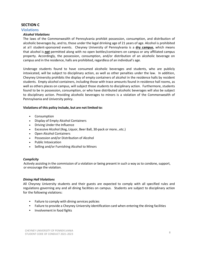# **SECTION C**

# **Violations**

# *Alcohol Violations*

The laws of the Commonwealth of Pennsylvania prohibit possession, consumption, and distribution of alcoholic beverages by, and to, those under the legal drinking age of 21 years of age. Alcohol is prohibited at all student-sponsored events. Cheyney University of Pennsylvania is a **dry campus**, which means that alcohol is *not* permitted along with no open bottles/containers on campus or any affiliated campus property. Accordingly, the possession, consumption, and/or distribution of an alcoholic beverage on campus and in the residence, halls are prohibited, regardless of an individual's age.

Underage students found to have consumed alcoholic beverages and students, who are publicly intoxicated, will be subject to disciplinary action, as well as other penalties under the law. In addition, Cheyney University prohibits the display of empty containers of alcohol in the residence halls by resident students. Empty alcohol containers, including those with trace amounts found in residence hall rooms, as well as others places on campus, will subject those students to disciplinary action. Furthermore, students found to be in possession, consumption, or who have distributed alcoholic beverages will also be subject to disciplinary action. Providing alcoholic beverages to minors is a violation of the Commonwealth of Pennsylvania and University policy.

# **Violations of this policy include, but are not limited to:**

- Consumption
- Display of Empty Alcohol Containers
- Driving Under the Influence
- Excessive Alcohol (Keg, Liquor, Beer Ball, 30-pack or more…etc.)
- Open Alcohol Containers
- Possession and/or Distribution of Alcohol
- Public Intoxication
- Selling and/or Furnishing Alcohol to Minors

# *Complicity*

 Actively assisting in the commission of a violation or being present in such a way as to condone, support, or encourage the violation.

# *Dining Hall Violations*

All Cheyney University students and their guests are expected to comply with all specified rules and regulations governing any and all dining facilities on campus. Students are subject to disciplinary action for the following violations:

- Failure to comply with dining services policies
- Failure to provide a Cheyney University identification card when entering the dining facilities
- Involvement in food fights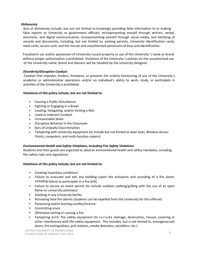# *Dishonesty*

Acts of dishonesty include, but are not limited to knowingly providing false information to or making false reports to University or government officials; misrepresenting oneself through written, verbal, electronic, and digital communication; misrepresenting oneself through social media, and falsifying of records and documents, including, but not limited to, parking permits, University identification cards, meal cards, access card; and the misuse and unauthorized possession of keys and identification.

 Fraudulent use and/or possession of University-issued property or use of the University 's name or brand without proper authorization is prohibited. Violations of the University 's policies on the unauthorized use of the University name, brand and likeness will be handled by the university designee.

# *Disorderly/Disruptive Conduct*

Conduct that impedes, hinders, threatens, or prevents the orderly functioning of any of the University's academic or administrative operations and/or an individual's ability to work, study, or participate in activities of the University is prohibited.

# **Violations of this policy include, but are not limited to:**

- Causing a Public Disturbance
- Fighting or Engaging in a Brawl
- Leading, Instigating, and/or Inciting a Riot
- Lewd or Indecent Conduct
- Unreasonable Noise
- Disruptive Behavior in the Classroom
- Acts of Unlawful Discrimination
- Tampering with University equipment (to include but not limited to door locks, Wireless Access Points, computers, and multi-function copiers)

# *Environmental Health and Safety Violations, Including Fire Safety Violations*

Students and their guests are expected to observe environmental health and safety mandates, including fire safety rules and regulations.

# **Violations of this policy include, but are not limited to:**

- Creating hazardous conditions
- Failure to evacuate and exit any building (upon the activation and sounding of a fire alarm, including failure to participate in a fire drill)
- Failure to secure an event permit (to include outdoor cooking/grilling with the use of an open flame on university premises)
- Smoking in any University facility
- Activating false fire alarms (students can be expelled from the University for this offense)
- Possessing and/or burning candles/incense
- Committing arson
- Otherwise setting or causing a fire
- Tampering with fire safety equipment (to include damage, destruction, misuse, covering or other interference with life-safety equipment. This includes, but is not limited to, emergency exit doors, fire extinguishers, pull stations, smoke detectors, sprinklers, etc.)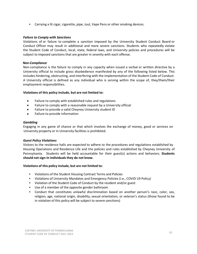• Carrying a lit cigar, cigarette, pipe, Juul, Vape Pens or other smoking devices.

# *Failure to Comply with Sanctions*

Violations of or failure to complete a sanction imposed by the University Student Conduct Board or Conduct Officer may result in additional and more severe sanctions. Students who repeatedly violate the Student Code of Conduct, local, state, federal laws, and University policies and procedures will be subject to imposed sanctions that are greater in severity with each offense.

# *Non-Compliance*

Non-compliance is the failure to comply in any capacity when issued a verbal or written directive by a University official to include gross disobedience manifested by any of the following listed below. This includes hindering, obstructing, and interfering with the implementation of the Student Code of Conduct. A University official is defined as any individual who is serving within the scope of, they/them/their employment responsibilities.

# **Violations of this policy include, but are not limited to:**

- Failure to comply with established rules and regulations
- Failure to comply with a reasonable request by a University official
- Failure to provide a valid Cheyney University student ID
- Failure to provide information

### *Gambling*

Engaging in any game of chance or that which involves the exchange of money, good or services on University property or in University facilities is prohibited.

### *Guest Policy Violations*

Visitors to the residence halls are expected to adhere to the procedures and regulations established by Housing Operations and Residence Life and the policies and rules established by Cheyney University of Pennsylvania. Students will be held accountable for their guest(s) actions and behaviors. **Students should not sign-in individuals they do not know.**

# **Violations of this policy include, but are not limited to:**

- Violations of the Student Housing Contract Terms and Policies
- Violations of University Mandates and Emergency Policies (i.e., COVID-19 Policy)
- Violation of the Student Code of Conduct by the resident and/or guest
- Use of a member of the opposite gender bathroom
- Conduct that constitutes unlawful discrimination based on another person's race, color, sex, religion, age, national origin, disability, sexual orientation, or veteran's status (those found to be in violation of this policy will be subject to severe sanctions)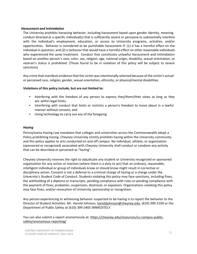# *Harassment and Intimidation*

The University prohibits harassing behavior, including harassment based upon gender identity, meaning conduct directed at a specific individual(s) that is sufficiently severe or pervasive to substantially interfere with the individual's employment, education, or access to University programs, activities, and/or opportunities. Behavior is considered to be punishable harassment if: (1) it has a harmful effect on the individual in question; and (2) is behavior that would have a harmful effect on other reasonable individuals who experienced the same treatment. Conduct that constitutes unlawful Harassment and Intimidation based on another person's race, color, sex, religion, age, national origin, disability, sexual orientation, or veteran's status is prohibited. (Those found to be in violation of this policy will be subject to severe sanctions)

Any crime that manifests evidence that the victim wasintentionally selected because of the victim's actual or perceived race, religion, gender, sexual orientation, ethnicity, or physical/mental disabilities.

# **Violations of this policy include, but are not limited to:**

- Interfering with the freedom of any person to express they/them/their views as long as they are within legal limits;
- Interfering with conduct that limits or restricts a person's freedom to move about in a lawful manner without consent; and
- Using technology to carry out any of the foregoing

# *Hazing*

Pennsylvania Hazing Law mandates that colleges and universities across the Commonwealth adopt a Policy prohibiting hazing. Cheyney University strictly prohibits hazing within the University community and this policy applies to acts conducted on and off campus. No individual, athlete, or organization (sponsored or recognized) associated with Cheyney University shall conduct or condone any activity that can be described or perceived as "hazing".

Cheyney University reserves the right to adjudicate any student or University recognized or sponsored organization for any action or inaction (where there is a duty to act) that an ordinary, reasonable, intelligent individual or group of individuals know or should know might result in corrective or disciplinary action. Consent is not a defense to a criminal charge of hazing or a charge under the University's Student Code of Conduct. Students violating this policy may face sanctions, including fines, the withholding of a diploma or transcripts, pending compliance with rules or pending compliance with the payment of fines, probation, suspension, dismissal, or expulsion. Organizations violating this policy may face fines, and/or revocation of University sponsorship or recognition.

Any person experiencing or witnessing behavior suspected to be hazing is to report the behavior to the Director of Student Activities: Mr. Harold Johnson, [haroldjohnson@cheyney.edu;](mailto:haroldjohnson@cheyney.edu) (610) 399-2100 or the Department of Public Safety at (610) 399-2405 IMMEDITELY.

You can also submit a report anonymously at: [https://cheyney.edu/resources/cu-campus-public](https://cheyney.edu/resources/cu-campus-public-safety/anonymous-reporting/)[safety/anonymous-reporting/](https://cheyney.edu/resources/cu-campus-public-safety/anonymous-reporting/)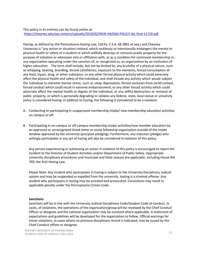# This policy in its entirety can be found online at: <https://cheyney.edu/wp-content/uploads/2019/02/NEW-HAZING-POLICY-IAL-final-11719.pdf>

Hazing, as defined by the Pennsylvania Hazing Law, (18 Pa. C.S.A. §§ 2801 et seq.) and Cheyney University is "any action or situation created, which recklessly or intentionally endangers the mental or physical health or safety of a student or which willfully destroys or removes public property for the purpose of initiation or admission into or affiliation with, or as a condition for continued membership in, any organization operating under the sanction of, or recognized as, an organization by an institution of higher education. The term shall include, but not be limited to, any brutality of a physical nature, such as whipping, beating, branding, forced calisthenics, exposure to the elements, forced consumption of any food, liquor, drug, or other substance, or any other forced physical activity which could adversely affect the physical health and safety of the individual, and shall include any activity which would subject the individual to extreme mental stress, such as sleep deprivation, forced exclusion from social contact, forced conduct which could result in extreme embarrassment, or any other forced activity which could adversely affect the mental health or dignity of the individual, or any willful destruction or removal of public property, or which is personally degrading or violates any federal, state, local statue or university policy is considered hazing. In addition to hazing, the following is considered to be a violation:

- A. Conducting or participating in unapproved membership intake/ new membership education activities on campus or off.
- B. Participating in on-campus or off-campus membership intake activities/new member education by an approved or unrecognized Greek letter or social fellowship organization outside of the intake window approved by the university (pre/post-pledging). Furthermore, any inductee (pledge) who willingly participates in any act of hazing will also be considered in violation of this policy.

Any person experiencing or witnessing an action in violation of this policy is encouraged to report the incident to the Director of Student Activities and/or Department of Public Safety. Appropriate university disciplinary procedures and municipal and State statues are applicable, including House Bill 749, the Anti-Hazing Law.

Please Note: Any student who participates in hazing is subject to the University Disciplinary Judicial system and may be suspended or expelled from the university. Hazing is a criminal offense. Any student who participates in hazing may be arrested and prosecuted. Convictions may result in applicable penalty under the Pennsylvania Crimes Code.

# **Sanctions:**

Sanctions will be in line with the University Judicial Disciplinary Code/Student Code of Conduct. In cases, of violations, the operations of the organization/group will be reviewed by the Chief Conduct Officer or designee and the national organization may be involved where applicable. A statement of expectations and guidelines will be developed for the organization to follow. Official warnings for minor violations, in cases where no previous disciplinary record is indicated, may be issued by the Chief Conduct officer or designee.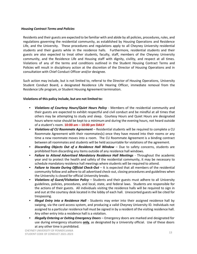# *Housing Contract Terms and Policies*

Residents and their guests are expected to be familiar with and abide by all policies, procedures, rules, and regulations governing the residential community, as established by Housing Operations and Residence Life, and the University. These procedures and regulations apply to all Cheyney University residential students and their guests while in the residence halls. Furthermore, residential students and their guests are also expected to treat other students, faculty, staff, members of the Cheyney University community, and the Residence Life and Housing staff with dignity, civility, and respect at all times. Violations of any of the terms and conditions outlined in the Student Housing Contract Terms and Policies will result in disciplinary action at the discretion of the Director of Housing Operations and in consultation with Chief Conduct Officer and/or designee.

Such action may include, but is not limited to, referral to the Director of Housing Operations, University Student Conduct Board, a designated Residence Life Hearing Officer, immediate removal from the Residence Life program, or Student Housing Agreement termination.

# **Violations of this policy include, but are not limited to:**

- *Violations of Courtesy Hours/Quiet Hours Policy* Members of the residential community and their guests are expected to exhibit respectful and civil conduct and be mindful at all times that others may be attempting to study and sleep. Courtesy Hours and Quiet Hours are designated hours where noise should be kept to a minimum and during the evening hours, not heard outside of a student's room. **10:00 am – 10:00 pm DAILY**
- *Violations of CU Roommate Agreement* Residential students will be required to complete a CU Roommate Agreement with their roommates(s) once they have moved into their rooms or any time a new roommate moves into a room. The CU Roommate Agreement is a binding contract between all roommates and students will be held accountable for violations of the agreement.
- *Discarding Objects Out of a Residence Hall Window* Due to safety concerns, students are prohibited from discarding any items outside of any residence hall windows.
- *Failure to Attend Advertised Mandatory Residence Hall Meetings* Throughout the academic year and to protect the health and safety of the residential community, it may be necessary to schedule mandatory residence hall meetings where students will be required to attend.
- *Failure to Vacate During Official Check-Out –* It is expected that all members of the residential community follow and adhere to all advertised check-out, closing procedures and guidelines when the University is closed for official University breaks.
- *Violations of Guest/Visitation Policy –* Students and their guests must adhere to all University guidelines, policies, procedures, and local, state, and federal laws. Students are responsible for the actions of their guests. All individuals visiting the residence halls will be required to sign in and out at the courtesy desk located in the lobby of each hall. Unescorted guests will be cited for trespassing.
- *Illegal Entry into a Residence Hall -* Students may enter into their assigned residence hall by swiping, via the card access system, and producing a valid Cheyney University ID. Individuals not assigned to a particular residence hall must be signed in by a resident of the visiting residence hall. Any other entry into a residence hall is a violation.
- *Illegally Entering or Exiting Emergency Doors –* Emergency doors are marked and designated for use during emergency situations **only**, as designated by a University official. Use of these doors at any other time is prohibited.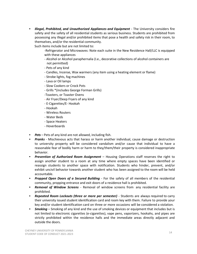• *Illegal, Prohibited, and Unauthorized Appliances and Equipment -* The University considers fire safety and the safety of all residential students as serious business. Students are prohibited from possessing any illegal and/or prohibited items that pose a health and safety risk in their room, to themselves, and/or the residential community.

Such items include but are not limited to:

-Refrigerator and Microwaves: Note each suite in the New Residence Hall/LLC is equipped with these appliances

- Alcohol or Alcohol paraphernalia (I.e., decorative collections of alcohol containers are not permitted)
- Pets of any kind
- Candles, Incense, Wax warmers (any item using a heating element or flame)
- Strobe lights, fog machines
- Lava or Oil lamps
- Slow Cookers or Crock Pots
- Grills \*(includes George Forman Grills)
- -Toasters, or Toaster Ovens
- Air Fryer/Deep Fryers of any kind
- E-Cigarettes/E- Hookah
- Hookah
- Wireless Routers
- Water Beds
- Space Heaters
- Hoverboards
- *Pets –* Pets of any kind are not allowed, including fish.
- *Pranks -* Mischievous acts that harass or harm another individual, cause damage or destruction to university property will be considered vandalism and/or cause that individual to have a reasonable fear of bodily harm or harm to they/them/their property is considered inappropriate behavior.
- *Prevention of Authorized Room Assignment –* Housing Operations staff reserves the right to assign another student to a room at any time where empty spaces have been identified or reassign students to another space with notification. Students who hinder, prevent, and/or exhibit uncivil behavior towards another student who has been assigned to the room will be held accountable.
- *Propped Open Doors of a Secured Building -* For the safety of all members of the residential community, propping entrance and exit doors of a residence hall is prohibited.
- *Removal of Window Screens -* Removal of window screens from any residential facility are prohibited.
- *Repeated Room Lockouts (three or more per semester)* Students are always required to carry their university issued student identification card and room key with them. Failure to provide your key and/or student identification card on three or more occasions will be considered a violation.
- *Smoking* Smoking of any kind and the use of smoking devices or equipment that includes but is not limited to electronic cigarettes (e-cigarettes), vape pens, vaporizers, hookahs, and pipes are strictly prohibited within the residence halls and the immediate areas directly adjacent and outside the doors.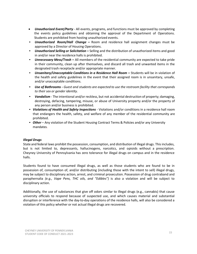- *Unauthorized Event/Party -* All events, programs, and functions must be approved by completing the events policy guidelines and obtaining the approval of the Department of Operations. Students are prohibited from hosting unauthorized events.
- *Unauthorized Room/Hall Change –* Room and residence hall assignment changes must be approved by a Director of Housing Operations.
- *Unauthorized Selling or Solicitation –* Selling and the distribution of unauthorized items and good in and/or near the residence halls is prohibited.
- *Unnecessary Mess/Trash –* All members of the residential community are expected to take pride in their community, clean up after themselves, and discard all trash and unwanted items in the designated trash receptacle and/or appropriate manner.
- *Unsanitary/Unacceptable Conditions in a Residence Hall Room –* Students will be in violation of the health and safety guidelines in the event that their assigned room is in unsanitary, unsafe, and/or unacceptable conditions.
- *Use of Bathrooms - Guest and students are expected to use the restroom facility that corresponds to their sex or gender identity.*
- *Vandalism* The intentional and/or reckless, but not accidental destruction of property; damaging, destroying, defacing, tampering, misuse, or abuse of University property and/or the property of any person and/or business is prohibited.
- *Violations of Health and Safety Inspections* Violations and/or conditions in a residence hall room that endangers the health, safety, and welfare of any member of the residential community are prohibited.
- *Other* Any violation of the Student Housing Contract Terms & Policies and/or any University mandates.

# *Illegal Drugs*

State and federal laws prohibit the possession, consumption, and distribution of illegal drugs. This includes, but is not limited to, depressants, hallucinogens, narcotics, and opioids without a prescription. Cheyney University of Pennsylvania has zero tolerance for illegal drugs on campus and in the residence halls.

Students found to have consumed illegal drugs, as well as those students who are found to be in possession of, consumption of, and/or distributing (including those with the intent to sell) illegal drugs, may be subject to disciplinary action, arrest, and criminal prosecution. Possession of drug contraband and paraphernalia *(e.g., Vape Pens, THC oils, and "Edibles")* is also a violation and will be subject to disciplinary action.

Additionally, the use of substances that give off odors similar to illegal drugs (e.g., cannabis) that cause university officials to respond because of suspected use, and which causes material and substantial disruption or interference with the day-to-day operations of the residence halls, will also be considered a violation of this policy whether or not actual illegal drugs are recovered.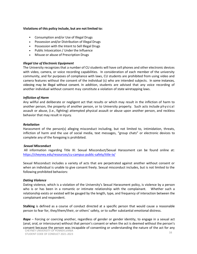# **Violations of this policy include, but are not limited to:**

- Consumption and/or Use of Illegal Drugs
- Possession and/or Distribution of Illegal Drugs
- Possession with the Intent to Sell Illegal Drugs
- Public Intoxication / Under the Influence
- Misuse or abuse of Prescription Drugs

# *Illegal Use of Electronic Equipment*

The University recognizes that a number of CU students will have cell phones and other electronic devices with video, camera, or voice recording capabilities. In consideration of each member of the university community, and for purposes of compliance with laws, CU students are prohibited from using video and camera features without the consent of the individual (s) who are intended subjects. In some instances, videoing may be illegal without consent. In addition, students are advised that any voice recording of another individual without consent may constitute a violation of state wiretapping laws.

# *Infliction of Harm*

Any willful and deliberate or negligent act that results or which may result in the infliction of harm to another person, the property of another person, or to University property. Such acts include physical assault or abuse, (i.e., fighting) attempted physical assault or abuse upon another person, and reckless behavior that may result in injury.

# *Retaliation*

Harassment of the person(s) alleging misconduct including, but not limited to, intimidation, threats, infliction of harm and the use of social media, text messages, "group chats" or electronic devices to complete any of the foregoing is prohibited.

### *Sexual Misconduct*

All information regarding Title IX: Sexual Misconduct/Sexual Harassment can be found online at: <https://cheyney.edu/resources/cu-campus-public-safety/title-ix/>

Sexual Misconduct includes a variety of acts that are perpetrated against another without consent or when an individual is unable to give consent freely. Sexual misconduct includes, but is not limited to the following prohibited behaviors:

# *Dating Violence*

Dating violence, which is a violation of the University's Sexual Harassment policy, is violence by a person who is or has been in a romantic or intimate relationship with the complainant. Whether such a relationship exists or existed will be gauged by the length, type, and frequency of interaction between the complainant and respondent.

**Stalking** is defined as a course of conduct directed at a specific person that would cause a reasonable person to fear for, they/them/their, or others' safety, or to suffer substantial emotional distress.

CHEYNEY UNIVERSITY OF PENNSYLVANIA *Rape* – Forcing or coercing another, regardless of gender or gender identity, to engage in a sexual act (anal, oral, or intercourse) without that person's consent or when the act is deemed without the person's consent because the person was incapable of consenting or understanding the nature of the act for any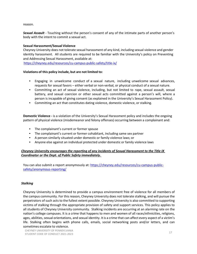reason.

*Sexual Assault* - Touching without the person's consent of any of the intimate parts of another person's body with the intent to commit a sexual act.

# **Sexual Harassment/Sexual Violence**

Cheyney University does not tolerate sexual harassment of any kind, including sexual violence and gender identity harassment. All students are required to be familiar with the University's policy on Preventing and Addressing Sexual Harassment, available at:

<https://cheyney.edu/resources/cu-campus-public-safety/title-ix/>

# **Violations of this policy include, but are not limited to:**

- Engaging in unwelcome conduct of a sexual nature, including unwelcome sexual advances, requests for sexual favors – either verbal or non-verbal, or physical conduct of a sexual nature.
- Committing an act of sexual violence, including, but not limited to rape, sexual assault, sexual battery, and sexual coercion or other sexual acts committed against a person's will, where a person is incapable of giving consent (as explained in the University's Sexual Harassment Policy).
- Committing an act that constitutes dating violence, domestic violence, or stalking.

**Domestic Violence -** is a violation of the University's Sexual Harassment policy and includes the ongoing pattern of physical violence (misdemeanor and felony offenses) occurring between a complainant and:

- The complainant's current or former spouse
- The complainant's current or former cohabitant, including same sex partner
- A person similarly situated under domestic or family violence laws; or
- Anyone else against an individual protected under domestic or family violence laws

# *Cheyney University encourages the reporting of any incidents of Sexual Harassment to the Title IX Coordinator or the Dept. of Public Safety immediately.*

You can also submit a report anonymously at: [https://cheyney.edu/resources/cu-campus-public](https://cheyney.edu/resources/cu-campus-public-safety/anonymous-reporting/)[safety/anonymous-reporting/](https://cheyney.edu/resources/cu-campus-public-safety/anonymous-reporting/)

# *Stalking*

Cheyney University is determined to provide a campus environment free of violence for all members of the campus community. For this reason, Cheyney University does not tolerate stalking, and will pursue the perpetrators of such acts to the fullest extent possible. Cheyney University is also committed to supporting victims of stalking through the appropriate provision of safety and support services. This policy applies to all students of Cheyney University community. Stalking incidents are occurring at an alarming rate on the nation's college campuses. It is a crime that happens to men and women of all races/ethnicities, religions, ages, abilities, sexual orientations, and sexual identity. It is a crime that can affect every aspect of a victim's life. Stalking often begins with phone calls, emails, social networking posts and/or letters, and can sometimes escalate to violence.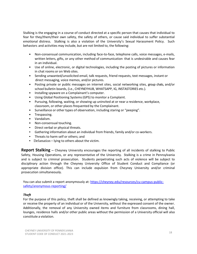Stalking is the engaging in a course of conduct directed at a specific person that causes that individual to fear for they/them/their own safety, the safety of others, or cause said individual to suffer substantial emotional distress. Stalking is also a violation of the University's Sexual Harassment Policy. Such behaviors and activities may include, but are not limited to, the following:

- Non-consensual communication, including face-to-face, telephone calls, voice messages, e-mails, written letters, gifts, or any other method of communication that is undesirable and causes fear in an individual.
- Use of online, electronic, or digital technologies, including the posting of pictures or information in chat rooms or on Web sites.
- Sending unwanted/unsolicited email, talk requests, friend requests, text messages, instant or direct messaging, voice memos, and/or pictures.
- Posting private or public messages on internet sites, social networking sites, group chats, and/or school bulletin boards, (i.e., CHEYNEYHUB, WHATSAPP, IG, INSTASTORIES etc.).
- Installing spyware on a Complainant's computer.
- Using Global Positioning Systems(GPS) to monitor a Complaint.
- Pursuing, following, waiting, or showing up uninvited at or near a residence, workplace, classroom, or other places frequented by the Complainant.
- Surveillance or other types of observation, including staring or "peeping".
- Trespassing.
- Vandalism.
- Non-consensual touching.
- Direct verbal or physical threats.
- Gathering information about an individual from friends, family and/or co-workers.
- Threats to harm self or others; and
- Defamation lying to others about the victim.

**Report Stalking --** Cheyney University encourages the reporting of all incidents of stalking to Public Safety, Housing Operations, or any representative of the University. Stalking is a crime in Pennsylvania and is subject to criminal prosecution. Students perpetrating such acts of violence will be subject to disciplinary action through the Cheyney University Office of Student Conduct and Compliance (or appropriate division office). This can include expulsion from Cheyney University and/or criminal prosecution simultaneously.

You can also submit a report anonymously at: [https://cheyney.edu/resources/cu-campus-public](https://cheyney.edu/resources/cu-campus-public-safety/anonymous-reporting/)[safety/anonymous-reporting/](https://cheyney.edu/resources/cu-campus-public-safety/anonymous-reporting/)

# *Theft*

For the purpose of this policy, theft shall be defined as knowingly taking, receiving, or attempting to take or receive the property of an individual or of the University, without the expressed consent of the owner. Additionally, the removal of any University owned items and furniture from classrooms, dining hall, lounges, residence halls and/or other public areas without the permission of a University official will also constitute a violation.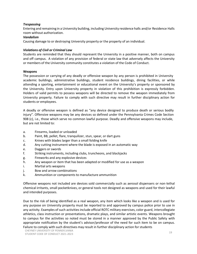# *Trespassing*

Entering and remaining in a University building, including University residence halls and/or Residence Halls room without authorization.

# *Vandalism*

Causing damage to or destroying University property or the property of an individual.

# *Violations of Civil or Criminal Law*

Students are reminded that they should represent the University in a positive manner, both on campus and off campus. A violation of any provision of federal or state law that adversely affects the University or members of the University community constitutes a violation of the Code of Conduct.

# **Weapons**

The possession or carrying of any deadly or offensive weapon by any person is prohibited in University academic buildings, administrative buildings, student residence buildings, dining facilities, or while attending a sporting, entertainment or educational event on the University's property or sponsored by the University. Entry upon University property in violation of this prohibition is expressly forbidden. Holders of valid permits to possess weapons will be directed to remove the weapon immediately from University property. Failure to comply with such directive may result in further disciplinary action for students or employees.

A deadly or offensive weapon is defined as "any device designed to produce death or serious bodily injury". Offensive weapons may be any devices so defined under the Pennsylvania Crimes Code Section 908 (c), i.e., those which serve no common lawful purpose. Deadly and offensive weapons may include, but are not limited to:

- a. Firearms, loaded or unloaded
- b. Paint, BB, pellet, flare, tranquilizer, stun, spear, or dart guns
- c. Knives with blades larger than a small folding knife
- d. Any cutting instrument where the blade is exposed in an automatic way
- e. Daggers orswords
- f. Striking instruments, including clubs, truncheons, and blackjacks
- g. Fireworks and any explosive devices
- h. Any weapon or item that has been adapted or modified for use as a weapon
- i. Martial arts weapons
- j. Bow and arrow combinations
- k. Ammunition or components to manufacture ammunition

Offensive weapons not included are devices sold commercially such as aerosol dispensers or non-lethal chemical irritants, small pocketknives, or general tools not designed as weapons and used for their lawful and intended purposes.

Due to the risk of being identified as a real weapon, any item which looks like a weapon and is used for any purpose on University property must be reported to and approved by campus police prior to use in any activity. Examples of such activities include official ROTC military exercises, color guard, intercollegiate athletics, class instruction or presentations, dramatic plays, and similar artistic events. Weapons brought to campus for the activities so noted must be stored in a manner approved by the Public Safety with appropriate notification by the student's advisor/professor of the need for such item to be on campus. Failure to comply with such directives may result in further disciplinary action forstudents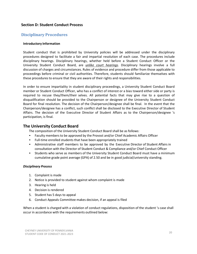# **Section D: Student Conduct Process**

# **Disciplinary Procedures**

# **Introductory Information**

Student conduct that is prohibited by University policies will be addressed under the disciplinary procedures designed to facilitate a fair and impartial resolution of each case. The procedures include disciplinary hearings. Disciplinary hearings, whether held before a Student Conduct Officer or the University Student Conduct Board, are *unlike court hearings*. Disciplinary hearings involve a full discussion of charges and circumstances. Rules of evidence and procedure differ from those applicable to proceedings before criminal or civil authorities. Therefore, students should familiarize themselves with these procedures to ensure that they are aware of their rights and responsibilities.

In order to ensure impartiality in student disciplinary proceedings, a University Student Conduct Board member or Student Conduct Officer, who has a conflict of interest or a bias toward either side or party is required to recuse they/them/their selves. All potential facts that may give rise to a question of disqualification should be provided to the Chairperson or designee of the University Student Conduct Board for final resolution. The decision of the Chairperson/designee shall be final. In the event that the Chairperson/designee has a conflict, such conflict shall be disclosed to the Executive Director of Student Affairs. The decision of the Executive Director of Student Affairs as to the Chairperson/designee 's participation, is final.

# **The University Conduct Board**

The composition of the University Student Conduct Board shall be as follows:

- Faculty membersto be approved by the Provost and/or Chief Academic Affairs Officer
- Full-time enrolled students that have been appropriately trained
- Administrative staff members to be approved by the Executive Director of Student Affairs in consultation with the Director of Student Conduct & Compliance and/or Chief Conduct Officer
- Students who serve as members of the University Student Conduct Board must have a minimum cumulative grade point average (GPA) of 2.50 and be in good judicial/university standing.

# *Disciplinary Process*

- 1. Complaint is made
- 2. Notice is provided to student against whom complaint is made
- 3. Hearing is held
- 4. Decision is rendered
- 5. Student has 5 days to appeal
- 6. Conduct Appeals Committee makes decision, if an appeal is filed

When a student is charged with a violation of conduct regulations, disposition of the student 's case shall occur in accordance with the requirements outlined below: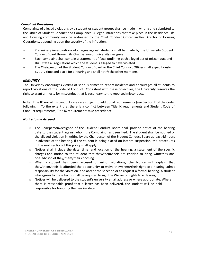# *Complaint Procedures*

Complaints of alleged violations by a student or student groups shall be made in writing and submitted to the Office of Student Conduct and Compliance. Alleged infractions that take place in the Residence Life and Housing community may be addressed by the Chief Conduct Officer and/or Director of Housing Operations, depending upon the severity of the infraction.

- Preliminary investigations of charges against students shall be made by the University Student Conduct Board through its Chairperson or university designee.
- Each complaint shall contain a statement of facts outlining each alleged act of misconduct and shall state all regulations which the student is alleged to have violated.
- The Chairperson of the Student Conduct Board or the Chief Conduct Officer shall expeditiously set the time and place for a hearing and shall notify the other members.

# *IMMUNITY*

The University encourages victims of serious crimes to report incidents and encourages all students to report violations of the Code of Conduct. Consistent with these objectives, the University reserves the right to grant amnesty for misconduct that is secondary to the reported misconduct.

Note: Title IX sexual misconduct cases are subject to additional requirements (see Section E of the Code, following). To the extent that there is a conflict between Title IX requirements and Student Code of Conduct requirements, Title IX requirements take precedence.

# *Notice to the Accused*

- o The Chairperson/designee of the Student Conduct Board shall provide notice of the hearing date to the student against whom the Complaint has been filed. The student shall be notified of the alleged violation in writing by the Chairperson of the Student Conduct Board at least *48* hours in advance of the hearing. If the student is being placed on interim suspension, the procedures in the next section of this policy shall apply.
- $\circ$  Notices shall include the date, time, and location of the hearing; a statement of the specific charges and notice to the student that they/them/their are entitled to bring witnesses and one advisor of they/them/their choosing.
- o When a student has been accused of minor violations, the Notice will explain that they/them/their is afforded the opportunity to waive they/them/their right to a hearing, admit responsibility for the violation, and accept the sanction or to request a formal hearing. A student who agrees to these terms shall be required to sign the Waiver of Rights to a Hearing form.
- $\circ$  Notices will be delivered to the student's university email address or where appropriate. Where there is reasonable proof that a letter has been delivered, the student will be held responsible for honoring the hearing date.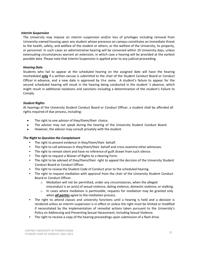### *Interim Suspension*

The University may impose an interim suspension and/or loss of privileges including removal from University-owned housing upon any student whose presence on campus constitutes an immediate threat to the health, safety, and welfare of the student or others, or the welfare of the University, its property, or personnel. In such cases an administrative hearing will be convened within 10 University days, unless extenuating circumstances warrant an extension, in which case a hearing will be provided at the earliest possible date. Please note that Interim Suspension is applied prior to any judicial proceeding.

# *Hearing Date*

Students who fail to appear at the scheduled hearing on the assigned date will have the hearing rescheduled **only** if a written excuse is submitted to the chair of the Student Conduct Board or Conduct Officer in advance, and a new date is approved by the same. A student's failure to appear for the second scheduled hearing will result in the hearing being conducted in the student 's absence, which might result in additional violations and sanctions including a determination of the student's Failure to Comply.

# *Student Rights*

At hearings of the University Student Conduct Board or Conduct Officer, a student shall be afforded all rights required of due process, including:

- The right to one advisor of they/them/their choice.
- The advisor may not speak during the hearing of the University Student Conduct Board.
- However, the advisor may consult privately with the student.

# *The Right to Question the Complainant*

- The right to present evidence in they/them/their behalf.
- The right to call witnesses in they/them/their behalf and cross-examine other witnesses.
- The right to remain silent and have no inference of guilt drawn from such silence.
- The right to request a Waiver of Rights to a Hearing Form.
- The right to be advised of they/them/their right to appeal the decision of the University Student Conduct Board or Conduct Officer.
- The right to review the Student Code of Conduct prior to the scheduled hearing.
- The right to request mediation with approval from the chair of the University Student Conduct Board or Conduct Officer.
	- o Mediation will not be permitted, under any circumstances, when the alleged misconduct is an act(s) of sexual violence, dating violence, domestic violence, or stalking.
	- $\circ$  In cases where mediation is permissible, requests for mediation may be granted only when *all parties* agree to the mediation process.
- The right to attend classes and university functions until a hearing is held and a decision is rendered unless an interim suspension is in effect or unless the right must be limited or modified if necessitated by the implementation of remedial actions taken pursuant to the University's Policy on Addressing and Preventing Sexual Harassment, Including Sexual Violence.
- The right to receive a copy of the hearing proceedings upon submission of a flash drive.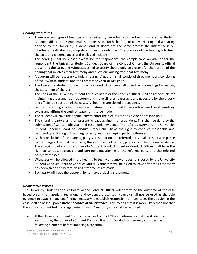# *Hearing Procedures*

- There are two types of hearings at the university, an Administrative Hearing where the Student Conduct Officer or designee makes the decision. Both the Administrative Hearing and a hearing decided by the University Student Conduct Board are the same process the difference is on whether an individual or group determines the outcome. The purpose of the hearing is to hear the facts and circumstances of the alleged incident.
- The hearings shall be closed except for the respondent, the complainant, an advisor for the respondent, the University Student Conduct Board or the Conduct Officer, the University official presenting the case, and Witnesses asked to testify should only be present for the portion of the hearing that involves their testimony and questions arising from that testimony
- A quorum will be necessary to hold a hearing. A quorum shall consist of three members: consisting of faculty/staff, student, and the Committee Chair or Designee.
- The University Student Conduct Board or Conduct Officer shall open the proceedings by reading the statement of charges.
- The Chair of the University Student Conduct Board or the Conduct Officer shall be responsible for maintaining order and room decorum and make all rules reasonable and necessary for the orderly and efficient disposition of the cases. All hearings are closed proceedings.
- Before presenting any testimony, each witness must submit to an oath where their/them/they swear and affirms the truth of statements to be made.
- The student will have the opportunity to enter the plea of responsible or not responsible.
- The charging party shall then present its case against the respondent. This shall be done by the submission of written, physical, and testimonial evidence. The referred party and the University Student Conduct Board or Conduct Officer shall have the right to conduct reasonable and pertinent questioning of the charging party and the charging party's witnesses.
- At the conclusion of the charging party's presentation, the referred party shall present a response to the charges. This shall be done by the submission of written, physical, and testimonial evidence. The charging party and the University Student Conduct Board or Conduct Officer shall have the right to conduct reasonable and pertinent questioning of the referred party and the referred party's witnesses.
- Witnesses will be allowed in the hearing to testify and answer questions posed by the University Student Conduct Board or Conduct Officer. Witnesses will be asked to leave after their testimony has been given and before closing statements are made.
- Each party will have the opportunity to make a closing statement.

# *Deliberative Process*

The University Student Conduct Board or the Conduct Officer will determine the outcome of the case based on all the materials, testimony, and evidence presented. Hearsay shall not be used as the sole evidence to establish any fact finding necessary to establish responsibility in any case. The decision in the case shall be based upon a *preponderance of the evidence*. This means that it is more likely than not that the accused committed the alleged misconduct. A majority vote shall be required.

• If the University Student Conduct Board or Conduct Officer determinesthat the student is responsible, the University Student Conduct Board or Conduct Officer may consider the following elements before imposing a sanction: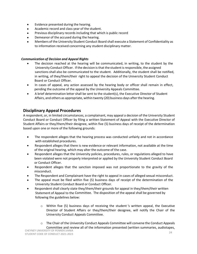- Evidence presented during the hearing.
- Academic record and class year of the student.
- Previous disciplinary records including that which is public record
- Demeanor of the accused during the hearing.
- Members of the University Student Conduct Board shall execute a Statement of Confidentiality as to information received concerning any student disciplinary matter.

# *Communication of Decision and Appeal Rights*

- The decision reached at the hearing will be communicated, in writing, to the student by the University Conduct Officer. If the decision is that the student is responsible, the assigned sanctions shall also be communicated to the student. Additionally, the student shall be notified, in writing, of they/them/their right to appeal the decision of the University Student Conduct Board or Conduct Officer.
- In cases of appeal, any action assessed by the hearing body or officer shall remain in effect, pending the outcome of the appeal by the University Appeals Committee.
- A brief determination letter shall be sent to the student(s), the Executive Director of Student Affairs, and others as appropriate, within twenty (20) business days afterthe hearing.

# **Disciplinary Appeal Procedures**

A respondent, or, in limited circumstances, a complainant, may appeal a decision of the University Student Conduct Board or Conduct Officer by filing a written Statement of Appeal with the Executive Director of Student Affairs or they/them/their designee, within five (5) business days of receipt of the determination based upon one or more of the following grounds:

- The respondent alleges that the hearing process was conducted unfairly and not in accordance with established procedures.
- Respondent alleges that there is new evidence or relevant information, not available at the time of the original hearing, which may alter the outcome of the case.
- Respondent alleges that the University policies, procedures, rules, or regulations alleged to have been violated were not properly interpreted or applied by the University Student Conduct Board or Conduct Officer.
- Respondent alleges that the sanction imposed was not proportionate to the gravity of the misconduct.
- The Respondent and Complainant have the right to appeal in cases of alleged sexual misconduct.
- The appeal must be filed within five (5) business days of receipt of the determination of the University Student Conduct Board or Conduct Officer.
- Respondent shall clearly state they/them/their grounds for appeal in they/them/their written Statement of Appeal to the Committee. The disposition of the appeal shall be governed by following the guidelines below:
	- $\circ$  Within five (5) business days of receiving the student 's written appeal, the Executive Director of Student Affairs or they/them/their designee, will notify the Chair of the University Conduct Appeals Committee.
	- $\circ$  The Chair of the University Conduct Appeals Committee will convene the Conduct Appeals Committee and review all of the information presented (written summaries, audiotapes,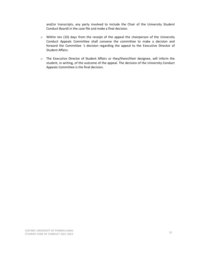and/or transcripts, any party involved to include the Chair of the University Student Conduct Board) in the case file and make a final decision.

- o Within ten (10) days from the receipt of the appeal the chairperson of the University Conduct Appeals Committee shall convene the committee to make a decision and forward the Committee 's decision regarding the appeal to the Executive Director of Student Affairs.
- o The Executive Director of Student Affairs or they/them/their designee, will inform the student, in writing, of the outcome of the appeal. The decision of the University Conduct Appeals Committee is the final decision.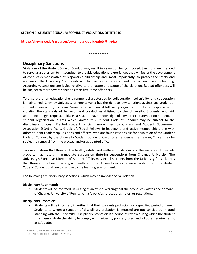# **SECTION E: STUDENT SEXUAL MISCONDUCT VIOLATIONS OF TITLE IX**

**https://cheyney.edu/resources/cu-campus-public-safety/title-ix/**

### \*\*\*\*\*\*\*\*\*\*\*

# **Disciplinary Sanctions**

Violations of the Student Code of Conduct may result in a sanction being imposed. Sanctions are intended to serve as a deterrent to misconduct, to provide educational experiencesthat will foster the development of conduct demonstrative of responsible citizenship and, most importantly, to protect the safety and welfare of the University Community and to maintain an environment that is conducive to learning. Accordingly, sanctions are levied relative to the nature and scope of the violation. Repeat offenders will be subject to more severe sanctions than first- time offenders.

To ensure that an educational environment characterized by collaboration, collegiality, and cooperation is maintained, Cheyney University of Pennsylvania has the right to levy sanctions against any student or student organization, including Greek letter and social fellowship organizations, found responsible for violating the standards of behavior and conduct established by the University. Students who aid, abet, encourage, request, initiate, assist, or have knowledge of any other student, non-student, or student organization in acts which violate this Student Code of Conduct may be subject to the disciplinary process. Elected student officials, more specifically, class and Student Government Association (SGA) officers, Greek Life/Social Fellowship leadership and active membership along with other Student Leadership Positions and officers, who are found responsible for a violation of the Student Code of Conduct by the University Student Conduct Board, or a Residence Life Hearing Officer may be subject to removal from the elected and/or appointed office.

Serious violations that threaten the health, safety, and welfare of individuals or the welfare of University property may result in immediate suspension (interim suspension) from Cheyney University. The University's Executive Director of Student Affairs may expel students from the University for violations that threaten the health, safety, and welfare of the University or for repeated violations of the Student Code of Conduct that are disruptive to the learning environment.

The following are disciplinary sanctions, which may be imposed for a violation:

# **Disciplinary Reprimand:**

• Students will be informed, in writing as an official warning that their conduct violates one or more of Cheyney University of Pennsylvania 's policies, procedures, rules, or regulations.

# **Disciplinary Probation:**

• Students will be informed, in writing that their warrants probation for a specified period of time. Students to whom a sanction of disciplinary probation is imposed are not considered in good standing with the University. Disciplinary probation is a period of review during which the student must demonstrate the ability to comply with university policies, rules, and all other requirements, as stipulated.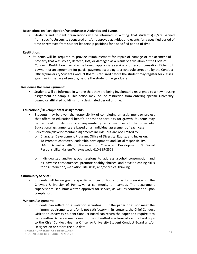# **Restrictions on Participation/Attendance at Activities and Events:**

• Students and student organizations will be informed, in writing, that student(s) is/are banned from specific University sponsored and/or approved activities and events for a specified period of time or removed from student leadership positions for a specified period of time.

# **Restitution:**

• Students will be required to provide reimbursement for repair of damage or replacement of property that was stolen, defaced, lost, or damaged as a result of a violation of the Code of Conduct. Restitution may take the form of appropriate service or other compensation. Either full payment or an agreement for partial payment according to a schedule agreed to by the Conduct Officer/University Student Conduct Board is required before the student may register for classes again, or in the case of seniors, before the student may graduate.

# **Residence Hall Reassignment:**

• Students will be informed in writing that they are being involuntarily reassigned to a new housing assignment on campus. This action may include restriction from entering specific Universityowned or affiliated buildings for a designated period of time.

# **Educational/Developmental Assignments:**

- Students may be given the responsibility of completing an assignment or project that offers an educational benefit or other opportunity for growth. Students may be required to demonstrate responsibility as a member of the university. Educational assignments are based on an individual assessment of each case.
- Educational/developmental assignments include, but are not limited to:
	- o Character Development Program: Office of Diversity, Equity, and Inclusion. To Promote character, leadership development, and Social responsibility. Ms. Daneisha Allen, Manager of Character Development & Social Responsibility[: dallen@cheyney.edu](mailto:dallen@cheyney.edu) 610-399-2319
	- o Individualized and/or group sessions to address alcohol consumption and its adverse consequences, promote healthy choices, and develop coping skills for risk reduction, mediation, life skills, and/or critical thinking.

### **Community Service:**

• Students will be assigned a specific number of hours to perform service for the Cheyney University of Pennsylvania community on campus The department supervisor must submit written approval for service, as well as confirmation upon completion.

### **Written Assignment:**

• Students can reflect on a violation in writing. If the paper does not meet the minimum requirements and/or is not satisfactory in its content, the Chief Conduct Officer or University Student Conduct Board can return the paper and require it to be rewritten. All assignments need to be submitted electronically and a hard copy to the Chief Conduct Hearing Officer or University Student Conduct Board and/or Designee on or before the due date.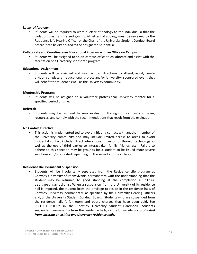# **Letter of Apology:**

• Students will be required to write a letter of apology to the individual(s) that the violation was transgressed against. All letters of apology must be reviewed by the Residence Life Hearing Officer or the Chair of the University Student Conduct Board before it can be distributed to the designated student(s).

# **Collaborate and Coordinate an Educational Program with an Office on Campus:**

• Students will be assigned to an on-campus office to collaborate and assist with the facilitation of a University sponsored program.

# **Educational Assignment:**

• Students will be assigned and given written directions to attend, assist, create and/or complete an educational project and/or University- sponsored event that will benefit the student as well as the University community.

# **Mentorship Program:**

• Students will be assigned to a volunteer professional University mentor for a specified period of time.

### **Referral:**

• Students may be required to seek evaluation through off campus counseling resources and comply with the recommendations that result from the evaluation.

### **No Contact Directive:**

This action is implemented ted to avoid initiating contact with another member of the university community and may include limited access to areas to avoid incidental contact includes direct interactions in person or through technology as well as the use of third parties to interact (i.e., family, friends, etc.). Failure to adhere to this sanction may be grounds for a student to be issued more severe sanctions and/or arrested depending on the severity of the violation.

### **Residence Hall Permanent Suspension:**

• Students will be involuntarily separated from the Residence Life program at Cheyney University of Pennsylvania permanently, with the understanding that the student may be returned to good standing at the completion all other as signed sanctions. When a suspension from the University of its residence hall is imposed, the student loses the privilege to reside in the residence halls of Cheyney University permanently, as specified by the University Hearing Officers and/or the University Student Conduct Board. Students who are suspended from the residence halls forfeit room and board charges that have been paid. See REFUND POLICY in the Cheyney University Student Handbook. Students suspended permanently from the residence halls, or the University *are prohibited from entering or visiting any University residence halls.*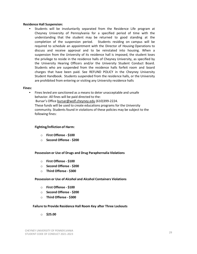### **Residence Hall Suspension:**

• Students will be involuntarily separated from the Residence Life program at Cheyney University of Pennsylvania for a specified period of time with the understanding that the student may be returned to good standing at the completion of the suspension period. Students residing on campus will be required to schedule an appointment with the Director of Housing Operations to discuss and receive approval and to be reinstated into housing. When a suspension from the University of its residence hall is imposed, the student loses the privilege to reside in the residence halls of Cheyney University, as specified by the University Hearing Officers and/or the University Student Conduct Board. Students who are suspended from the residence halls forfeit room and board charges that have been paid. See REFUND POLICY in the Cheyney University Student Handbook. Students suspended from the residence halls, or the University are prohibited from entering or visiting any University residence halls

### **Fines:**

• Fines levied are sanctioned as a means to deter unacceptable and unsafe behavior. All fines will be paid directed to the: Bursar's Office [bursar@wolf.cheyney.edu](mailto:bursar@wolf.cheyney.edu) (610)399-2224. These funds will be used to create educations programs for the University community. Students found in violations of these policies may be subject to the following fines:

### **Fighting/Infliction of Harm:**

- o **First Offense - \$100**
- o **Second Offense - \$200**

### **Possession or Use of Drugs and Drug Paraphernalia Violations**

- o **First Offense - \$100**
- o **Second Offense - \$200**
- o **Third Offense - \$300**

### **Possession or Use of Alcohol and Alcohol Containers Violations**

- o **First Offense - \$100**
- o **Second Offense - \$200**
- o **Third Offense - \$300**

### **Failure to Provide Residence Hall Room Key after Three Lockouts**

o **\$25.00**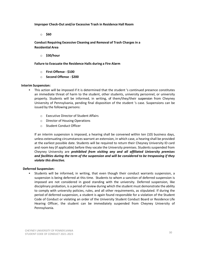**Improper Check-Out and/or Excessive Trash in Residence Hall Room**

o **\$60**

**Conduct Requiring Excessive Cleaning and Removal of Trash Charges in a Residential Area**

o **\$30/hour**

**Failure to Evacuate the Residence Halls during a Fire Alarm**

- o **First Offense - \$100**
- o **Second Offense - \$200**

# **Interim Suspension:**

- This action will be imposed if it is determined that the student 's continued presence constitutes an immediate threat of harm to the student, other students, university personnel, or university property. Students will be informed, in writing, of them/they/their suspension from Cheyney University of Pennsylvania, pending final disposition of the student 's case. Suspensions can be issued by the following persons:
	- o Executive Director of Student Affairs
	- o Director of Housing Operations
	- o Student Conduct Officer

If an interim suspension is imposed, a hearing shall be convened within ten (10) business days, unless extenuating circumstances warrant an extension, in which case, a hearing shall be provided at the earliest possible date. Students will be required to return their Cheyney University ID card and room key (if applicable) before they vacate the University premises. Students suspended from Cheyney University are *prohibited from visiting any and all affiliated University premises and facilities during the term of the suspension and will be considered to be trespassing if they violate this directive.*

# **Deferred Suspension:**

• Students will be informed, in writing, that even though their conduct warrants suspension, a suspension is being deferred at this time. Students to whom a sanction of deferred suspension is imposed are not considered in good standing with the university. Deferred suspension, like disciplinary probation, is a period of review during which the student must demonstrate the ability to comply with university policies, rules, and all other requirements, as stipulated. If during the period of deferred suspension, a student is again found responsible for a violation of the Student Code of Conduct or violating an order of the University Student Conduct Board or Residence Life Hearing Officer, the student can be immediately suspended from Cheyney University of Pennsylvania.